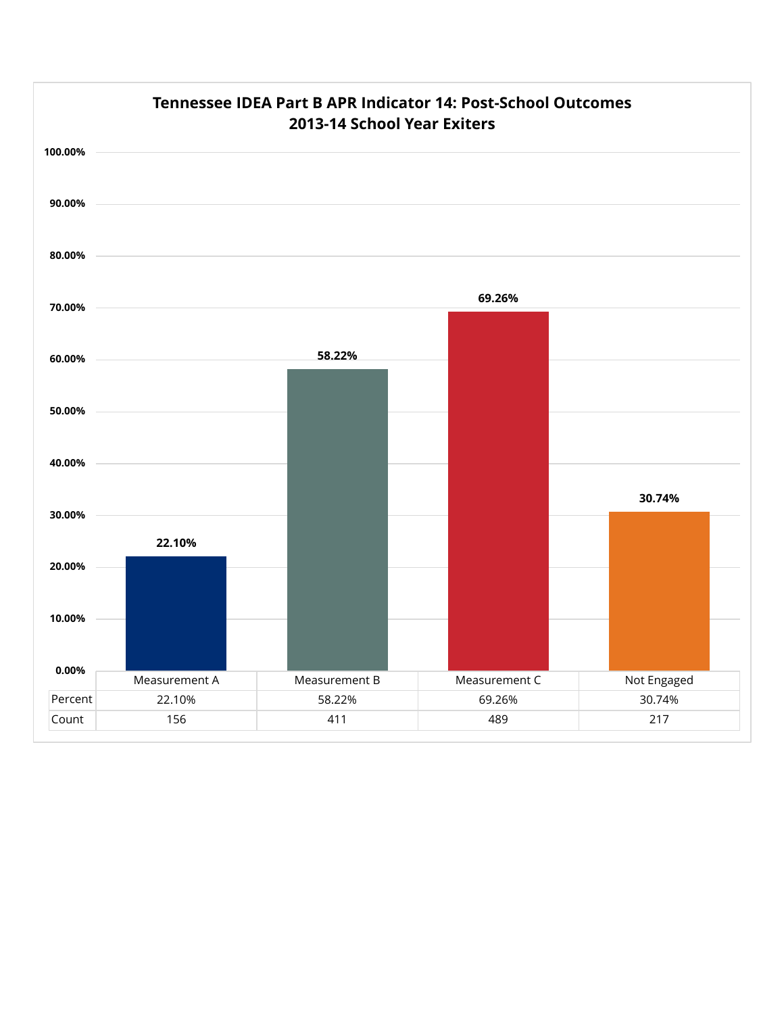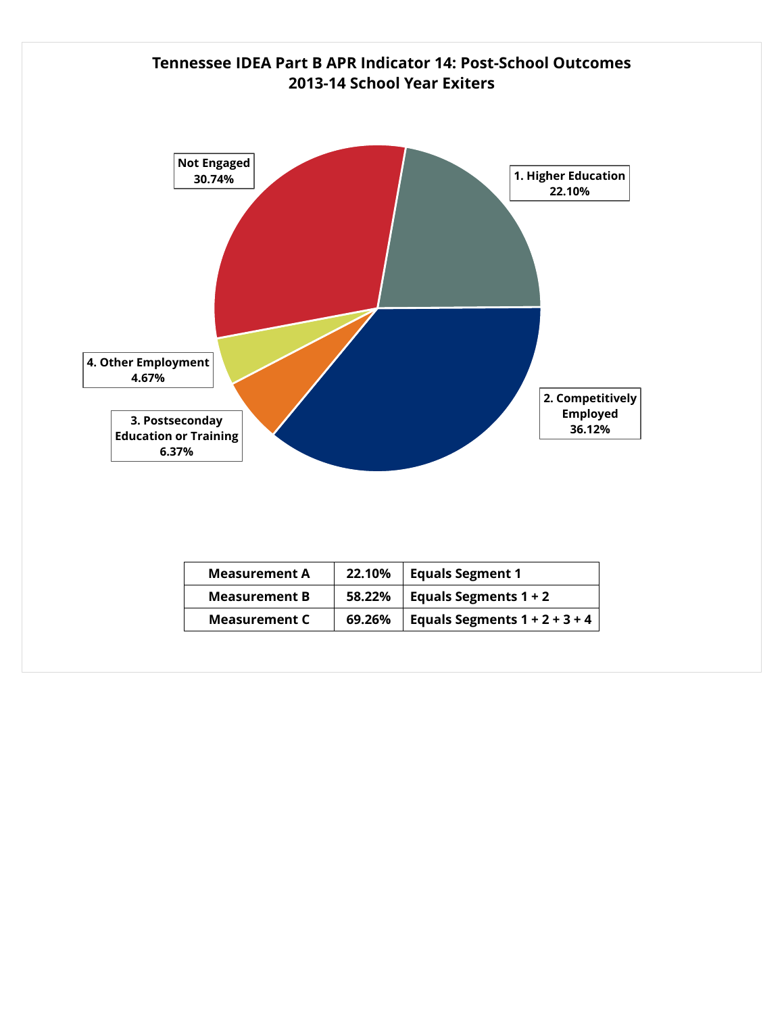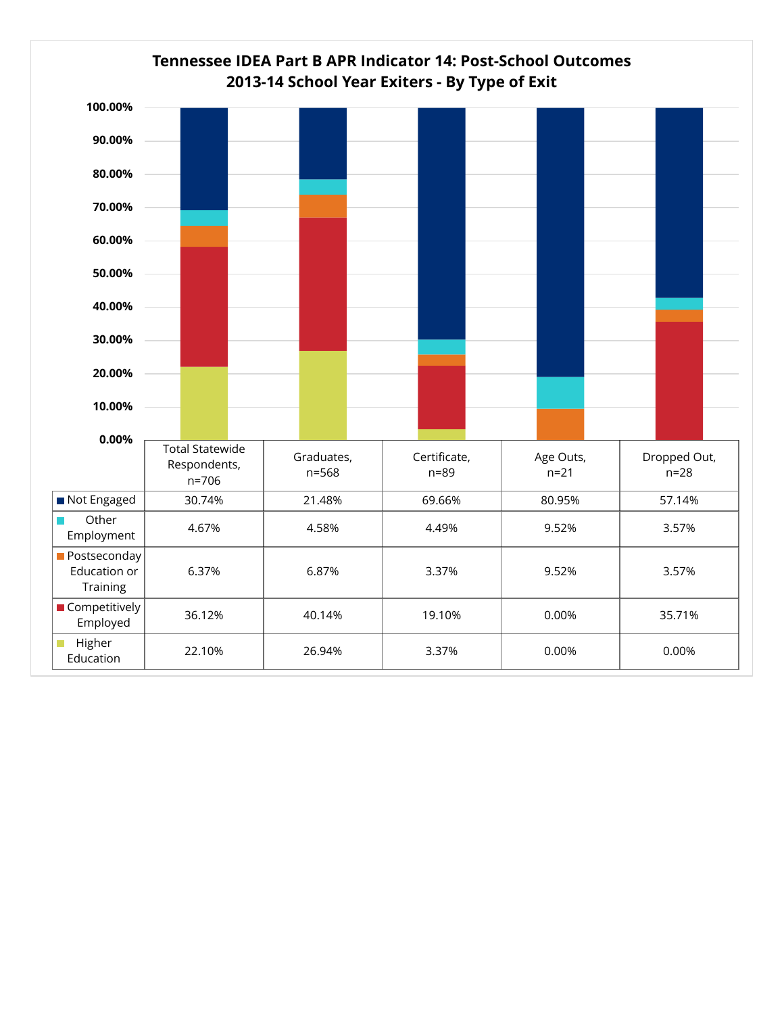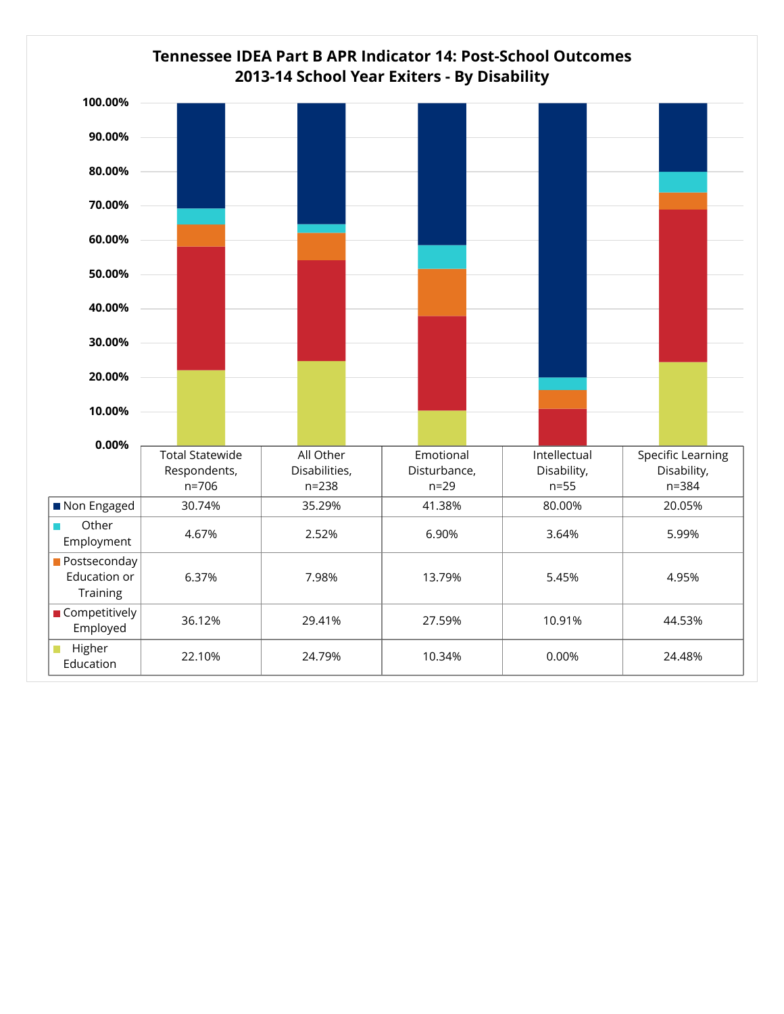## **Tennessee IDEA Part B APR Indicator 14: Post-School Outcomes 2013-14 School Year Exiters - By Disability**

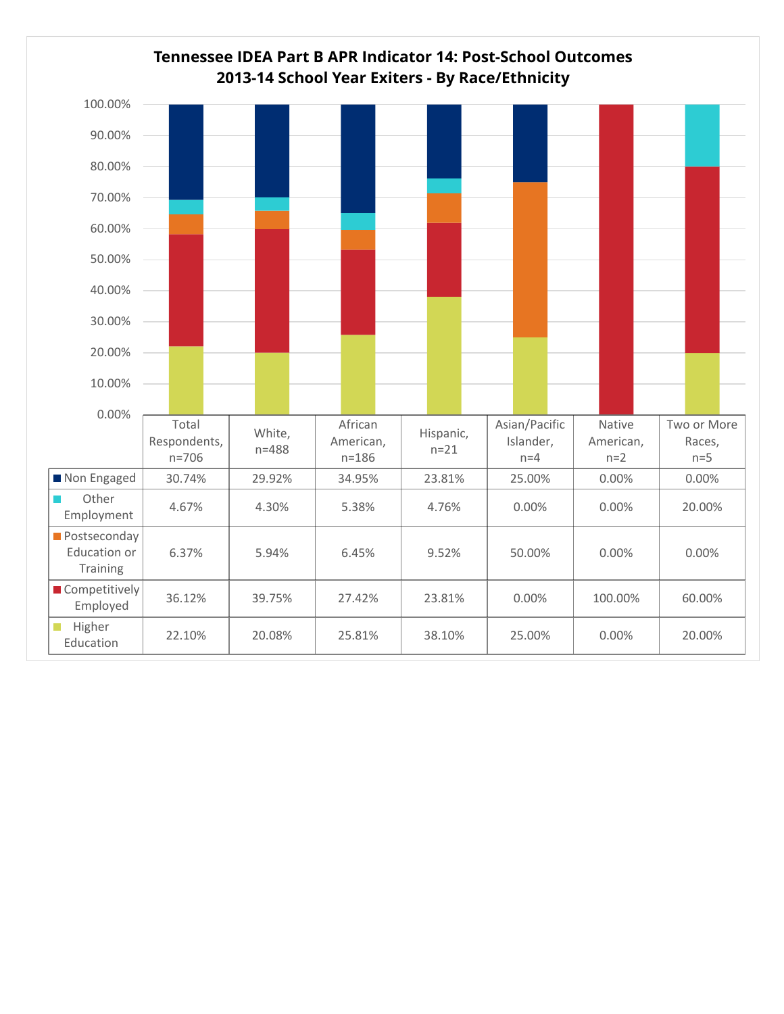## **Tennessee IDEA Part B APR Indicator 14: Post-School Outcomes 2013-14 School Year Exiters - By Race/Ethnicity**